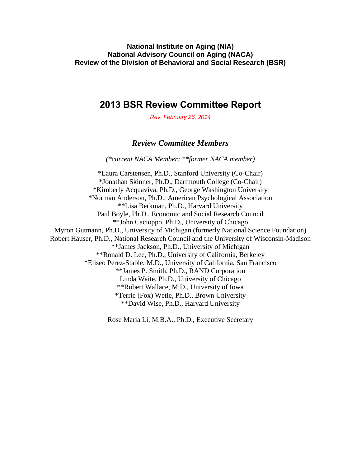**National Institute on Aging (NIA) National Advisory Council on Aging (NACA) Review of the Division of Behavioral and Social Research (BSR)** 

### **2013 BSR Review Committee Report**

*Rev. February 26, 2014* 

#### *Review Committee Members*

*(\*current NACA Member; \*\*former NACA member)* 

\*Laura Carstensen, Ph.D., Stanford University (Co-Chair) \*Jonathan Skinner, Ph.D., Dartmouth College (Co-Chair) \*Kimberly Acquaviva, Ph.D., George Washington University \*Norman Anderson, Ph.D., American Psychological Association \*\*Lisa Berkman, Ph.D., Harvard University Paul Boyle, Ph.D., Economic and Social Research Council \*\*John Cacioppo, Ph.D., University of Chicago Myron Gutmann, Ph.D., University of Michigan (formerly National Science Foundation) Robert Hauser, Ph.D., National Research Council and the University of Wisconsin-Madison \*\*James Jackson, Ph.D., University of Michigan \*\*Ronald D. Lee, Ph.D., University of California, Berkeley \*Eliseo Perez-Stable, M.D., University of California, San Francisco \*\*James P. Smith, Ph.D., RAND Corporation Linda Waite, Ph.D., University of Chicago \*\*Robert Wallace, M.D., University of Iowa \*Terrie (Fox) Wetle, Ph.D., Brown University \*\*David Wise, Ph.D., Harvard University

Rose Maria Li, M.B.A., Ph.D., Executive Secretary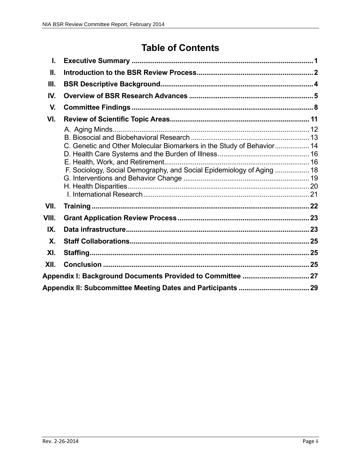# **Table of Contents**

| L.    |                                                                                                                                                |  |  |  |
|-------|------------------------------------------------------------------------------------------------------------------------------------------------|--|--|--|
| П.    |                                                                                                                                                |  |  |  |
| III.  |                                                                                                                                                |  |  |  |
| IV.   |                                                                                                                                                |  |  |  |
| V.    |                                                                                                                                                |  |  |  |
| VI.   |                                                                                                                                                |  |  |  |
|       | C. Genetic and Other Molecular Biomarkers in the Study of Behavior 14<br>F. Sociology, Social Demography, and Social Epidemiology of Aging  18 |  |  |  |
| VII.  |                                                                                                                                                |  |  |  |
| VIII. |                                                                                                                                                |  |  |  |
| IX.   |                                                                                                                                                |  |  |  |
| X.    |                                                                                                                                                |  |  |  |
| XI.   |                                                                                                                                                |  |  |  |
| XII.  |                                                                                                                                                |  |  |  |
|       |                                                                                                                                                |  |  |  |
|       |                                                                                                                                                |  |  |  |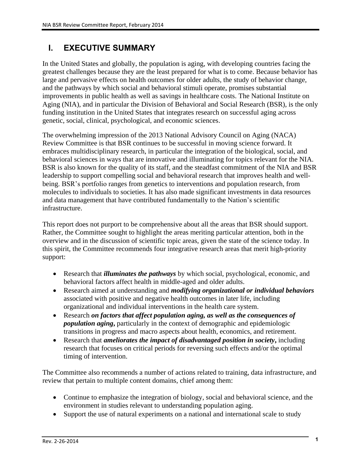### **I. EXECUTIVE SUMMARY**

In the United States and globally, the population is aging, with developing countries facing the greatest challenges because they are the least prepared for what is to come. Because behavior has large and pervasive effects on health outcomes for older adults, the study of behavior change, and the pathways by which social and behavioral stimuli operate, promises substantial improvements in public health as well as savings in healthcare costs. The National Institute on Aging (NIA), and in particular the Division of Behavioral and Social Research (BSR), is the only funding institution in the United States that integrates research on successful aging across genetic, social, clinical, psychological, and economic sciences.

The overwhelming impression of the 2013 National Advisory Council on Aging (NACA) Review Committee is that BSR continues to be successful in moving science forward. It embraces multidisciplinary research, in particular the integration of the biological, social, and behavioral sciences in ways that are innovative and illuminating for topics relevant for the NIA. BSR is also known for the quality of its staff, and the steadfast commitment of the NIA and BSR leadership to support compelling social and behavioral research that improves health and wellbeing. BSR's portfolio ranges from genetics to interventions and population research, from molecules to individuals to societies. It has also made significant investments in data resources and data management that have contributed fundamentally to the Nation's scientific infrastructure.

This report does not purport to be comprehensive about all the areas that BSR should support. Rather, the Committee sought to highlight the areas meriting particular attention, both in the overview and in the discussion of scientific topic areas, given the state of the science today. In this spirit, the Committee recommends four integrative research areas that merit high-priority support:

- Research that *illuminates the pathways* by which social, psychological, economic, and behavioral factors affect health in middle-aged and older adults.
- Research aimed at understanding and *modifying organizational or individual behaviors* associated with positive and negative health outcomes in later life, including organizational and individual interventions in the health care system.
- Research *on factors that affect population aging, as well as the consequences of population aging***,** particularly in the context of demographic and epidemiologic transitions in progress and macro aspects about health, economics, and retirement.
- Research that *ameliorates the impact of disadvantaged position in society***,** including research that focuses on critical periods for reversing such effects and/or the optimal timing of intervention.

The Committee also recommends a number of actions related to training, data infrastructure, and review that pertain to multiple content domains, chief among them:

- Continue to emphasize the integration of biology, social and behavioral science, and the environment in studies relevant to understanding population aging.
- Support the use of natural experiments on a national and international scale to study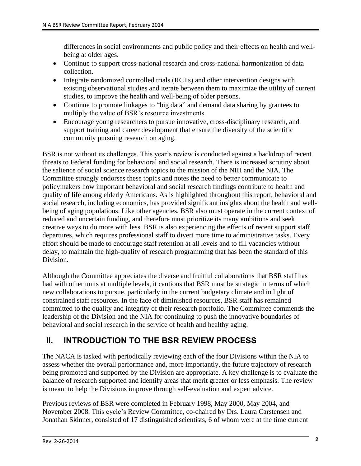differences in social environments and public policy and their effects on health and wellbeing at older ages.

- Continue to support cross-national research and cross-national harmonization of data collection.
- Integrate randomized controlled trials (RCTs) and other intervention designs with existing observational studies and iterate between them to maximize the utility of current studies, to improve the health and well-being of older persons.
- Continue to promote linkages to "big data" and demand data sharing by grantees to multiply the value of BSR's resource investments.
- Encourage young researchers to pursue innovative, cross-disciplinary research, and support training and career development that ensure the diversity of the scientific community pursuing research on aging.

BSR is not without its challenges. This year's review is conducted against a backdrop of recent threats to Federal funding for behavioral and social research. There is increased scrutiny about the salience of social science research topics to the mission of the NIH and the NIA. The Committee strongly endorses these topics and notes the need to better communicate to policymakers how important behavioral and social research findings contribute to health and quality of life among elderly Americans. As is highlighted throughout this report, behavioral and social research, including economics, has provided significant insights about the health and wellbeing of aging populations. Like other agencies, BSR also must operate in the current context of reduced and uncertain funding, and therefore must prioritize its many ambitions and seek creative ways to do more with less. BSR is also experiencing the effects of recent support staff departures, which requires professional staff to divert more time to administrative tasks. Every effort should be made to encourage staff retention at all levels and to fill vacancies without delay, to maintain the high-quality of research programming that has been the standard of this Division.

Although the Committee appreciates the diverse and fruitful collaborations that BSR staff has had with other units at multiple levels, it cautions that BSR must be strategic in terms of which new collaborations to pursue, particularly in the current budgetary climate and in light of constrained staff resources. In the face of diminished resources, BSR staff has remained committed to the quality and integrity of their research portfolio. The Committee commends the leadership of the Division and the NIA for continuing to push the innovative boundaries of behavioral and social research in the service of health and healthy aging.

### **II. INTRODUCTION TO THE BSR REVIEW PROCESS**

The NACA is tasked with periodically reviewing each of the four Divisions within the NIA to assess whether the overall performance and, more importantly, the future trajectory of research being promoted and supported by the Division are appropriate. A key challenge is to evaluate the balance of research supported and identify areas that merit greater or less emphasis. The review is meant to help the Divisions improve through self-evaluation and expert advice.

Previous reviews of BSR were completed in February 1998, May 2000, May 2004, and November 2008. This cycle's Review Committee, co-chaired by Drs. Laura Carstensen and Jonathan Skinner, consisted of 17 distinguished scientists, 6 of whom were at the time current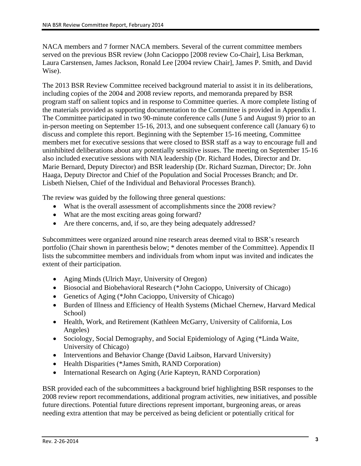NACA members and 7 former NACA members. Several of the current committee members served on the previous BSR review (John Cacioppo [2008 review Co-Chair], Lisa Berkman, Laura Carstensen, James Jackson, Ronald Lee [2004 review Chair], James P. Smith, and David Wise).

The 2013 BSR Review Committee received background material to assist it in its deliberations, including copies of the 2004 and 2008 review reports, and memoranda prepared by BSR program staff on salient topics and in response to Committee queries. A more complete listing of the materials provided as supporting documentation to the Committee is provided in Appendix I. The Committee participated in two 90-minute conference calls (June 5 and August 9) prior to an in-person meeting on September 15-16, 2013, and one subsequent conference call (January 6) to discuss and complete this report. Beginning with the September 15-16 meeting, Committee members met for executive sessions that were closed to BSR staff as a way to encourage full and uninhibited deliberations about any potentially sensitive issues. The meeting on September 15-16 also included executive sessions with NIA leadership (Dr. Richard Hodes, Director and Dr. Marie Bernard, Deputy Director) and BSR leadership (Dr. Richard Suzman, Director; Dr. John Haaga, Deputy Director and Chief of the Population and Social Processes Branch; and Dr. Lisbeth Nielsen, Chief of the Individual and Behavioral Processes Branch).

The review was guided by the following three general questions:

- What is the overall assessment of accomplishments since the 2008 review?
- What are the most exciting areas going forward?
- Are there concerns, and, if so, are they being adequately addressed?

Subcommittees were organized around nine research areas deemed vital to BSR's research portfolio (Chair shown in parenthesis below; \* denotes member of the Committee). Appendix II lists the subcommittee members and individuals from whom input was invited and indicates the extent of their participation.

- Aging Minds (Ulrich Mayr, University of Oregon)
- Biosocial and Biobehavioral Research (\*John Cacioppo, University of Chicago)
- Genetics of Aging (\*John Cacioppo, University of Chicago)
- Burden of Illness and Efficiency of Health Systems (Michael Chernew, Harvard Medical School)
- Health, Work, and Retirement (Kathleen McGarry, University of California, Los Angeles)
- Sociology, Social Demography, and Social Epidemiology of Aging (\*Linda Waite, University of Chicago)
- Interventions and Behavior Change (David Laibson, Harvard University)
- Health Disparities (\*James Smith, RAND Corporation)
- International Research on Aging (Arie Kapteyn, RAND Corporation)

BSR provided each of the subcommittees a background brief highlighting BSR responses to the 2008 review report recommendations, additional program activities, new initiatives, and possible future directions. Potential future directions represent important, burgeoning areas, or areas needing extra attention that may be perceived as being deficient or potentially critical for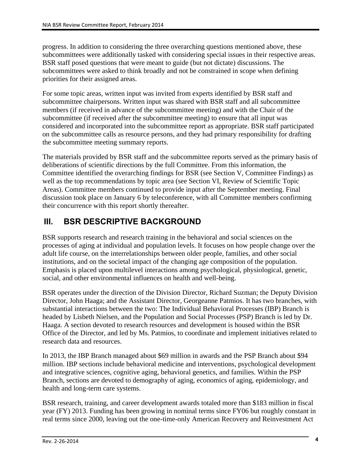progress. In addition to considering the three overarching questions mentioned above, these subcommittees were additionally tasked with considering special issues in their respective areas. BSR staff posed questions that were meant to guide (but not dictate) discussions. The subcommittees were asked to think broadly and not be constrained in scope when defining priorities for their assigned areas.

For some topic areas, written input was invited from experts identified by BSR staff and subcommittee chairpersons. Written input was shared with BSR staff and all subcommittee members (if received in advance of the subcommittee meeting) and with the Chair of the subcommittee (if received after the subcommittee meeting) to ensure that all input was considered and incorporated into the subcommittee report as appropriate. BSR staff participated on the subcommittee calls as resource persons, and they had primary responsibility for drafting the subcommittee meeting summary reports.

The materials provided by BSR staff and the subcommittee reports served as the primary basis of deliberations of scientific directions by the full Committee. From this information, the Committee identified the overarching findings for BSR (see Section V, Committee Findings) as well as the top recommendations by topic area (see Section VI, Review of Scientific Topic Areas). Committee members continued to provide input after the September meeting. Final discussion took place on January 6 by teleconference, with all Committee members confirming their concurrence with this report shortly thereafter.

### **III. BSR DESCRIPTIVE BACKGROUND**

BSR supports research and research training in the behavioral and social sciences on the processes of aging at individual and population levels. It focuses on how people change over the adult life course, on the interrelationships between older people, families, and other social institutions, and on the societal impact of the changing age composition of the population. Emphasis is placed upon multilevel interactions among psychological, physiological, genetic, social, and other environmental influences on health and well-being.

BSR operates under the direction of the Division Director, Richard Suzman; the Deputy Division Director, John Haaga; and the Assistant Director, Georgeanne Patmios. It has two branches, with substantial interactions between the two: The Individual Behavioral Processes (IBP) Branch is headed by Lisbeth Nielsen, and the Population and Social Processes (PSP) Branch is led by Dr. Haaga. A section devoted to research resources and development is housed within the BSR Office of the Director, and led by Ms. Patmios, to coordinate and implement initiatives related to research data and resources.

In 2013, the IBP Branch managed about \$69 million in awards and the PSP Branch about \$94 million. IBP sections include behavioral medicine and interventions, psychological development and integrative sciences, cognitive aging, behavioral genetics, and families. Within the PSP Branch, sections are devoted to demography of aging, economics of aging, epidemiology, and health and long-term care systems.

BSR research, training, and career development awards totaled more than \$183 million in fiscal year (FY) 2013. Funding has been growing in nominal terms since FY06 but roughly constant in real terms since 2000, leaving out the one-time-only American Recovery and Reinvestment Act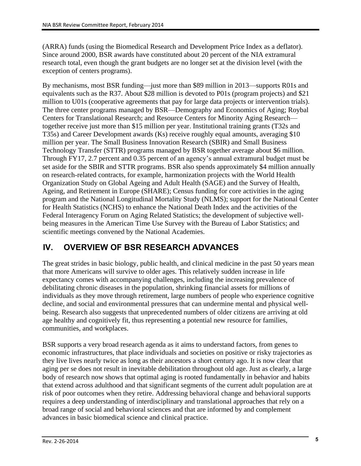(ARRA) funds (using the Biomedical Research and Development Price Index as a deflator). Since around 2000, BSR awards have constituted about 20 percent of the NIA extramural research total, even though the grant budgets are no longer set at the division level (with the exception of centers programs).

By mechanisms, most BSR funding—just more than \$89 million in 2013—supports R01s and equivalents such as the R37. About \$28 million is devoted to P01s (program projects) and \$21 million to U01s (cooperative agreements that pay for large data projects or intervention trials). The three center programs managed by BSR—Demography and Economics of Aging; Roybal Centers for Translational Research; and Resource Centers for Minority Aging Research together receive just more than \$15 million per year. Institutional training grants (T32s and T35s) and Career Development awards (Ks) receive roughly equal amounts, averaging \$10 million per year. The Small Business Innovation Research (SBIR) and Small Business Technology Transfer (STTR) programs managed by BSR together average about \$6 million. Through FY17, 2.7 percent and 0.35 percent of an agency's annual extramural budget must be set aside for the SBIR and STTR programs. BSR also spends approximately \$4 million annually on research-related contracts, for example, harmonization projects with the World Health Organization Study on Global Ageing and Adult Health (SAGE) and the Survey of Health, Ageing, and Retirement in Europe (SHARE); Census funding for core activities in the aging program and the National Longitudinal Mortality Study (NLMS); support for the National Center for Health Statistics (NCHS) to enhance the National Death Index and the activities of the Federal Interagency Forum on Aging Related Statistics; the development of subjective wellbeing measures in the American Time Use Survey with the Bureau of Labor Statistics; and scientific meetings convened by the National Academies.

### **IV. OVERVIEW OF BSR RESEARCH ADVANCES**

The great strides in basic biology, public health, and clinical medicine in the past 50 years mean that more Americans will survive to older ages. This relatively sudden increase in life expectancy comes with accompanying challenges, including the increasing prevalence of debilitating chronic diseases in the population, shrinking financial assets for millions of individuals as they move through retirement, large numbers of people who experience cognitive decline, and social and environmental pressures that can undermine mental and physical wellbeing. Research also suggests that unprecedented numbers of older citizens are arriving at old age healthy and cognitively fit, thus representing a potential new resource for families, communities, and workplaces.

BSR supports a very broad research agenda as it aims to understand factors, from genes to economic infrastructures, that place individuals and societies on positive or risky trajectories as they live lives nearly twice as long as their ancestors a short century ago. It is now clear that aging per se does not result in inevitable debilitation throughout old age. Just as clearly, a large body of research now shows that optimal aging is rooted fundamentally in behavior and habits that extend across adulthood and that significant segments of the current adult population are at risk of poor outcomes when they retire. Addressing behavioral change and behavioral supports requires a deep understanding of interdisciplinary and translational approaches that rely on a broad range of social and behavioral sciences and that are informed by and complement advances in basic biomedical science and clinical practice.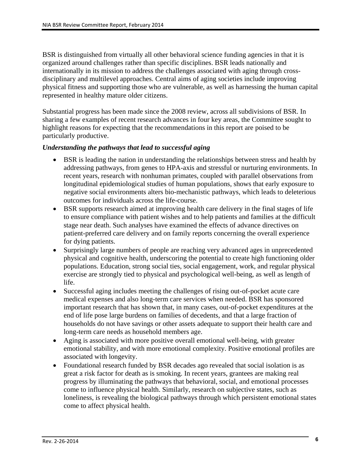BSR is distinguished from virtually all other behavioral science funding agencies in that it is organized around challenges rather than specific disciplines. BSR leads nationally and internationally in its mission to address the challenges associated with aging through crossdisciplinary and multilevel approaches. Central aims of aging societies include improving physical fitness and supporting those who are vulnerable, as well as harnessing the human capital represented in healthy mature older citizens.

Substantial progress has been made since the 2008 review, across all subdivisions of BSR. In sharing a few examples of recent research advances in four key areas, the Committee sought to highlight reasons for expecting that the recommendations in this report are poised to be particularly productive.

#### *Understanding the pathways that lead to successful aging*

- BSR is leading the nation in understanding the relationships between stress and health by addressing pathways, from genes to HPA-axis and stressful or nurturing environments. In recent years, research with nonhuman primates, coupled with parallel observations from longitudinal epidemiological studies of human populations, shows that early exposure to negative social environments alters bio-mechanistic pathways, which leads to deleterious outcomes for individuals across the life-course.
- BSR supports research aimed at improving health care delivery in the final stages of life to ensure compliance with patient wishes and to help patients and families at the difficult stage near death. Such analyses have examined the effects of advance directives on patient-preferred care delivery and on family reports concerning the overall experience for dying patients.
- Surprisingly large numbers of people are reaching very advanced ages in unprecedented physical and cognitive health, underscoring the potential to create high functioning older populations. Education, strong social ties, social engagement, work, and regular physical exercise are strongly tied to physical and psychological well-being, as well as length of life.
- Successful aging includes meeting the challenges of rising out-of-pocket acute care medical expenses and also long-term care services when needed. BSR has sponsored important research that has shown that, in many cases, out-of-pocket expenditures at the end of life pose large burdens on families of decedents, and that a large fraction of households do not have savings or other assets adequate to support their health care and long-term care needs as household members age.
- Aging is associated with more positive overall emotional well-being, with greater emotional stability, and with more emotional complexity. Positive emotional profiles are associated with longevity.
- Foundational research funded by BSR decades ago revealed that social isolation is as great a risk factor for death as is smoking. In recent years, grantees are making real progress by illuminating the pathways that behavioral, social, and emotional processes come to influence physical health. Similarly, research on subjective states, such as loneliness, is revealing the biological pathways through which persistent emotional states come to affect physical health.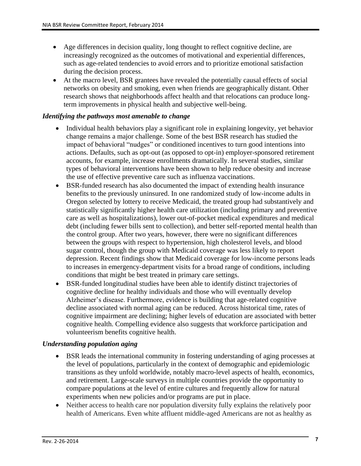- Age differences in decision quality, long thought to reflect cognitive decline, are increasingly recognized as the outcomes of motivational and experiential differences, such as age-related tendencies to avoid errors and to prioritize emotional satisfaction during the decision process.
- At the macro level, BSR grantees have revealed the potentially causal effects of social networks on obesity and smoking, even when friends are geographically distant. Other research shows that neighborhoods affect health and that relocations can produce longterm improvements in physical health and subjective well-being.

#### *Identifying the pathways most amenable to change*

- Individual health behaviors play a significant role in explaining longevity, yet behavior change remains a major challenge. Some of the best BSR research has studied the impact of behavioral "nudges" or conditioned incentives to turn good intentions into actions. Defaults, such as opt-out (as opposed to opt-in) employer-sponsored retirement accounts, for example, increase enrollments dramatically. In several studies, similar types of behavioral interventions have been shown to help reduce obesity and increase the use of effective preventive care such as influenza vaccinations.
- BSR-funded research has also documented the impact of extending health insurance benefits to the previously uninsured. In one randomized study of low-income adults in Oregon selected by lottery to receive Medicaid, the treated group had substantively and statistically significantly higher health care utilization (including primary and preventive care as well as hospitalizations), lower out-of-pocket medical expenditures and medical debt (including fewer bills sent to collection), and better self-reported mental health than the control group. After two years, however, there were no significant differences between the groups with respect to hypertension, high cholesterol levels, and blood sugar control, though the group with Medicaid coverage was less likely to report depression. Recent findings show that Medicaid coverage for low-income persons leads to increases in emergency-department visits for a broad range of conditions, including conditions that might be best treated in primary care settings.
- BSR-funded longitudinal studies have been able to identify distinct trajectories of cognitive decline for healthy individuals and those who will eventually develop Alzheimer's disease. Furthermore, evidence is building that age-related cognitive decline associated with normal aging can be reduced. Across historical time, rates of cognitive impairment are declining; higher levels of education are associated with better cognitive health. Compelling evidence also suggests that workforce participation and volunteerism benefits cognitive health.

#### *Understanding population aging*

- BSR leads the international community in fostering understanding of aging processes at the level of populations, particularly in the context of demographic and epidemiologic transitions as they unfold worldwide, notably macro-level aspects of health, economics, and retirement. Large-scale surveys in multiple countries provide the opportunity to compare populations at the level of entire cultures and frequently allow for natural experiments when new policies and/or programs are put in place.
- Neither access to health care nor population diversity fully explains the relatively poor health of Americans. Even white affluent middle-aged Americans are not as healthy as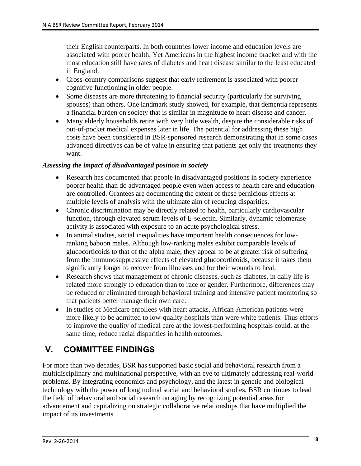their English counterparts. In both countries lower income and education levels are associated with poorer health. Yet Americans in the highest income bracket and with the most education still have rates of diabetes and heart disease similar to the least educated in England.

- Cross-country comparisons suggest that early retirement is associated with poorer cognitive functioning in older people.
- Some diseases are more threatening to financial security (particularly for surviving spouses) than others. One landmark study showed, for example, that dementia represents a financial burden on society that is similar in magnitude to heart disease and cancer.
- Many elderly households retire with very little wealth, despite the considerable risks of out-of-pocket medical expenses later in life. The potential for addressing these high costs have been considered in BSR-sponsored research demonstrating that in some cases advanced directives can be of value in ensuring that patients get only the treatments they want.

#### *Assessing the impact of disadvantaged position in society*

- Research has documented that people in disadvantaged positions in society experience poorer health than do advantaged people even when access to health care and education are controlled. Grantees are documenting the extent of these pernicious effects at multiple levels of analysis with the ultimate aim of reducing disparities.
- Chronic discrimination may be directly related to health, particularly cardiovascular function, through elevated serum levels of E-selectin. Similarly, dynamic telomerase activity is associated with exposure to an acute psychological stress.
- In animal studies, social inequalities have important health consequences for lowranking baboon males. Although low-ranking males exhibit comparable levels of glucocorticoids to that of the alpha male, they appear to be at greater risk of suffering from the immunosuppressive effects of elevated glucocorticoids, because it takes them significantly longer to recover from illnesses and for their wounds to heal.
- Research shows that management of chronic diseases, such as diabetes, in daily life is related more strongly to education than to race or gender. Furthermore, differences may be reduced or eliminated through behavioral training and intensive patient monitoring so that patients better manage their own care.
- In studies of Medicare enrollees with heart attacks, African-American patients were more likely to be admitted to low-quality hospitals than were white patients. Thus efforts to improve the quality of medical care at the lowest-performing hospitals could, at the same time, reduce racial disparities in health outcomes.

### **V. COMMITTEE FINDINGS**

For more than two decades, BSR has supported basic social and behavioral research from a multidisciplinary and multinational perspective, with an eye to ultimately addressing real-world problems. By integrating economics and psychology, and the latest in genetic and biological technology with the power of longitudinal social and behavioral studies, BSR continues to lead the field of behavioral and social research on aging by recognizing potential areas for advancement and capitalizing on strategic collaborative relationships that have multiplied the impact of its investments.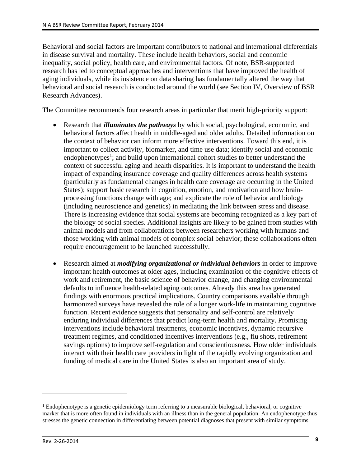Behavioral and social factors are important contributors to national and international differentials in disease survival and mortality. These include health behaviors, social and economic inequality, social policy, health care, and environmental factors. Of note, BSR-supported research has led to conceptual approaches and interventions that have improved the health of aging individuals, while its insistence on data sharing has fundamentally altered the way that behavioral and social research is conducted around the world (see Section IV, Overview of BSR Research Advances).

The Committee recommends four research areas in particular that merit high-priority support:

- Research that *illuminates the pathways* by which social, psychological, economic, and behavioral factors affect health in middle-aged and older adults. Detailed information on the context of behavior can inform more effective interventions. Toward this end, it is important to collect activity, biomarker, and time use data; identify social and economic endophenotypes<sup>1</sup>; and build upon international cohort studies to better understand the context of successful aging and health disparities. It is important to understand the health impact of expanding insurance coverage and quality differences across health systems (particularly as fundamental changes in health care coverage are occurring in the United States); support basic research in cognition, emotion, and motivation and how brainprocessing functions change with age; and explicate the role of behavior and biology (including neuroscience and genetics) in mediating the link between stress and disease. There is increasing evidence that social systems are becoming recognized as a key part of the biology of social species. Additional insights are likely to be gained from studies with animal models and from collaborations between researchers working with humans and those working with animal models of complex social behavior; these collaborations often require encouragement to be launched successfully.
- Research aimed at *modifying organizational or individual behaviors* in order to improve important health outcomes at older ages, including examination of the cognitive effects of work and retirement, the basic science of behavior change, and changing environmental defaults to influence health-related aging outcomes. Already this area has generated findings with enormous practical implications. Country comparisons available through harmonized surveys have revealed the role of a longer work-life in maintaining cognitive function. Recent evidence suggests that personality and self-control are relatively enduring individual differences that predict long-term health and mortality. Promising interventions include behavioral treatments, economic incentives, dynamic recursive treatment regimes, and conditioned incentives interventions (e.g., flu shots, retirement savings options) to improve self-regulation and conscientiousness. How older individuals interact with their health care providers in light of the rapidly evolving organization and funding of medical care in the United States is also an important area of study.

<sup>&</sup>lt;sup>1</sup> Endophenotype is a genetic epidemiology term referring to a measurable biological, behavioral, or cognitive marker that is more often found in individuals with an illness than in the general population. An endophenotype thus stresses the genetic connection in differentiating between potential diagnoses that present with similar symptoms.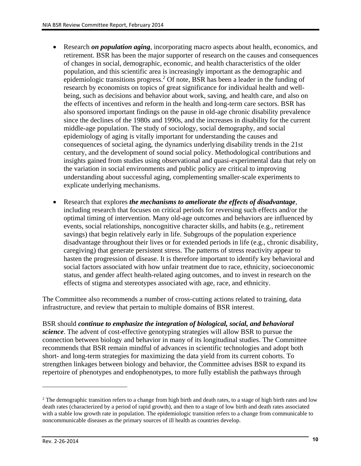- Research *on population aging*, incorporating macro aspects about health, economics, and retirement. BSR has been the major supporter of research on the causes and consequences of changes in social, demographic, economic, and health characteristics of the older population, and this scientific area is increasingly important as the demographic and epidemiologic transitions progress.<sup>2</sup> Of note, BSR has been a leader in the funding of research by economists on topics of great significance for individual health and wellbeing, such as decisions and behavior about work, saving, and health care, and also on the effects of incentives and reform in the health and long-term care sectors. BSR has also sponsored important findings on the pause in old-age chronic disability prevalence since the declines of the 1980s and 1990s, and the increases in disability for the current middle-age population. The study of sociology, social demography, and social epidemiology of aging is vitally important for understanding the causes and consequences of societal aging, the dynamics underlying disability trends in the 21st century, and the development of sound social policy. Methodological contributions and insights gained from studies using observational and quasi-experimental data that rely on the variation in social environments and public policy are critical to improving understanding about successful aging, complementing smaller-scale experiments to explicate underlying mechanisms.
- Research that explores *the mechanisms to ameliorate the effects of disadvantage*, including research that focuses on critical periods for reversing such effects and/or the optimal timing of intervention. Many old-age outcomes and behaviors are influenced by events, social relationships, noncognitive character skills, and habits (e.g., retirement savings) that begin relatively early in life. Subgroups of the population experience disadvantage throughout their lives or for extended periods in life (e.g., chronic disability, caregiving) that generate persistent stress. The patterns of stress reactivity appear to hasten the progression of disease. It is therefore important to identify key behavioral and social factors associated with how unfair treatment due to race, ethnicity, socioeconomic status, and gender affect health-related aging outcomes, and to invest in research on the effects of stigma and stereotypes associated with age, race, and ethnicity.

The Committee also recommends a number of cross-cutting actions related to training, data infrastructure, and review that pertain to multiple domains of BSR interest.

BSR should *continue to emphasize the integration of biological, social, and behavioral science*. The advent of cost-effective genotyping strategies will allow BSR to pursue the connection between biology and behavior in many of its longitudinal studies. The Committee recommends that BSR remain mindful of advances in scientific technologies and adopt both short- and long-term strategies for maximizing the data yield from its current cohorts. To strengthen linkages between biology and behavior, the Committee advises BSR to expand its repertoire of phenotypes and endophenotypes, to more fully establish the pathways through

 $2$  The demographic transition refers to a change from high birth and death rates, to a stage of high birth rates and low death rates (characterized by a period of rapid growth), and then to a stage of low birth and death rates associated with a stable low growth rate in population. The epidemiologic transition refers to a change from communicable to noncommunicable diseases as the primary sources of ill health as countries develop.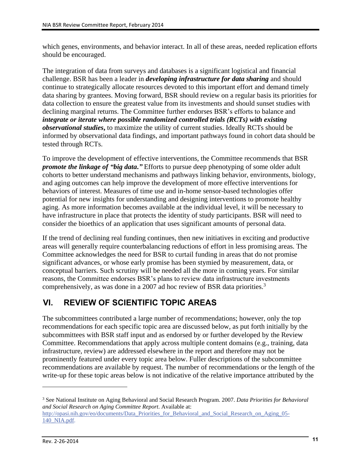which genes, environments, and behavior interact. In all of these areas, needed replication efforts should be encouraged.

The integration of data from surveys and databases is a significant logistical and financial challenge. BSR has been a leader in *developing infrastructure for data sharing* and should continue to strategically allocate resources devoted to this important effort and demand timely data sharing by grantees. Moving forward, BSR should review on a regular basis its priorities for data collection to ensure the greatest value from its investments and should sunset studies with declining marginal returns. The Committee further endorses BSR's efforts to balance and *integrate or iterate where possible randomized controlled trials (RCTs) with existing observational studies***,** to maximize the utility of current studies. Ideally RCTs should be informed by observational data findings, and important pathways found in cohort data should be tested through RCTs.

To improve the development of effective interventions, the Committee recommends that BSR *promote the linkage of "big data***.***"* Efforts to pursue deep phenotyping of some older adult cohorts to better understand mechanisms and pathways linking behavior, environments, biology, and aging outcomes can help improve the development of more effective interventions for behaviors of interest. Measures of time use and in-home sensor-based technologies offer potential for new insights for understanding and designing interventions to promote healthy aging. As more information becomes available at the individual level, it will be necessary to have infrastructure in place that protects the identity of study participants. BSR will need to consider the bioethics of an application that uses significant amounts of personal data.

If the trend of declining real funding continues, then new initiatives in exciting and productive areas will generally require counterbalancing reductions of effort in less promising areas. The Committee acknowledges the need for BSR to curtail funding in areas that do not promise significant advances, or whose early promise has been stymied by measurement, data, or conceptual barriers. Such scrutiny will be needed all the more in coming years. For similar reasons, the Committee endorses BSR's plans to review data infrastructure investments comprehensively, as was done in a 2007 ad hoc review of BSR data priorities.<sup>3</sup>

### **VI. REVIEW OF SCIENTIFIC TOPIC AREAS**

The subcommittees contributed a large number of recommendations; however, only the top recommendations for each specific topic area are discussed below, as put forth initially by the subcommittees with BSR staff input and as endorsed by or further developed by the Review Committee. Recommendations that apply across multiple content domains (e.g., training, data infrastructure, review) are addressed elsewhere in the report and therefore may not be prominently featured under every topic area below. Fuller descriptions of the subcommittee recommendations are available by request. The number of recommendations or the length of the write-up for these topic areas below is not indicative of the relative importance attributed by the

<sup>3</sup> See National Institute on Aging Behavioral and Social Research Program. 2007. *Data Priorities for Behavioral and Social Research on Aging Committee Report*. Available at: [http://opasi.nih.gov/eo/documents/Data\\_Priorities\\_for\\_Behavioral\\_and\\_Social\\_Research\\_on\\_Aging\\_05-](http://opasi.nih.gov/eo/documents/Data_Priorities_for_Behavioral_and_Social_Research_on_Aging_05-140_NIA.pdf) 140 NIA.pdf.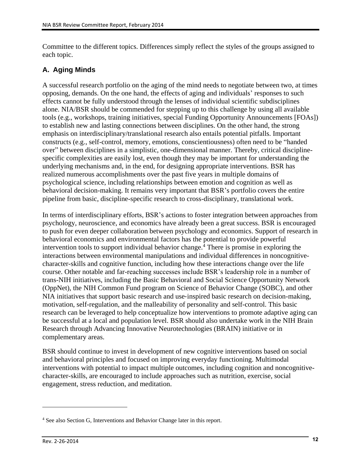Committee to the different topics. Differences simply reflect the styles of the groups assigned to each topic.

#### **A. Aging Minds**

A successful research portfolio on the aging of the mind needs to negotiate between two, at times opposing, demands. On the one hand, the effects of aging and individuals' responses to such effects cannot be fully understood through the lenses of individual scientific subdisciplines alone. NIA/BSR should be commended for stepping up to this challenge by using all available tools (e.g., workshops, training initiatives, special Funding Opportunity Announcements [FOAs]) to establish new and lasting connections between disciplines. On the other hand, the strong emphasis on interdisciplinary/translational research also entails potential pitfalls. Important constructs (e.g., self-control, memory, emotions, conscientiousness) often need to be "handed over" between disciplines in a simplistic, one-dimensional manner. Thereby, critical disciplinespecific complexities are easily lost, even though they may be important for understanding the underlying mechanisms and, in the end, for designing appropriate interventions. BSR has realized numerous accomplishments over the past five years in multiple domains of psychological science, including relationships between emotion and cognition as well as behavioral decision-making. It remains very important that BSR's portfolio covers the entire pipeline from basic, discipline-specific research to cross-disciplinary, translational work.

In terms of interdisciplinary efforts, BSR's actions to foster integration between approaches from psychology, neuroscience, and economics have already been a great success. BSR is encouraged to push for even deeper collaboration between psychology and economics. Support of research in behavioral economics and environmental factors has the potential to provide powerful intervention tools to support individual behavior change.<sup>4</sup> There is promise in exploring the interactions between environmental manipulations and individual differences in noncognitivecharacter-skills and cognitive function, including how these interactions change over the life course. Other notable and far-reaching successes include BSR's leadership role in a number of trans-NIH initiatives, including the Basic Behavioral and Social Science Opportunity Network (OppNet), the NIH Common Fund program on Science of Behavior Change (SOBC), and other NIA initiatives that support basic research and use‐inspired basic research on decision-making, motivation, self-regulation, and the malleability of personality and self-control. This basic research can be leveraged to help conceptualize how interventions to promote adaptive aging can be successful at a local and population level. BSR should also undertake work in the NIH Brain Research through Advancing Innovative Neurotechnologies (BRAIN) initiative or in complementary areas.

BSR should continue to invest in development of new cognitive interventions based on social and behavioral principles and focused on improving everyday functioning. Multimodal interventions with potential to impact multiple outcomes, including cognition and noncognitivecharacter-skills, are encouraged to include approaches such as nutrition, exercise, social engagement, stress reduction, and meditation.

<sup>4</sup> See also Section G, Interventions and Behavior Change later in this report.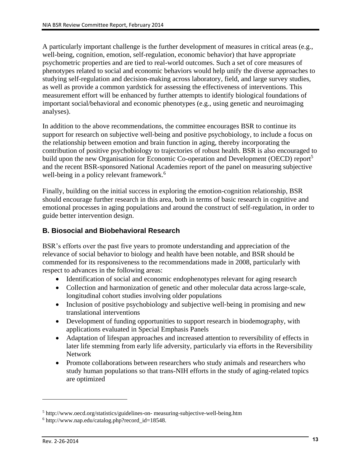A particularly important challenge is the further development of measures in critical areas (e.g., well-being, cognition, emotion, self-regulation, economic behavior) that have appropriate psychometric properties and are tied to real-world outcomes. Such a set of core measures of phenotypes related to social and economic behaviors would help unify the diverse approaches to studying self-regulation and decision-making across laboratory, field, and large survey studies, as well as provide a common yardstick for assessing the effectiveness of interventions. This measurement effort will be enhanced by further attempts to identify biological foundations of important social/behavioral and economic phenotypes (e.g., using genetic and neuroimaging analyses).

In addition to the above recommendations, the committee encourages BSR to continue its support for research on subjective well-being and positive psychobiology, to include a focus on the relationship between emotion and brain function in aging, thereby incorporating the contribution of positive psychobiology to trajectories of robust health. BSR is also encouraged to build upon the new Organisation for Economic Co-operation and Development (OECD) report<sup>5</sup> and the recent BSR-sponsored National Academies report of the panel on measuring subjective well-being in a policy relevant framework.<sup>6</sup>

Finally, building on the initial success in exploring the emotion-cognition relationship, BSR should encourage further research in this area, both in terms of basic research in cognitive and emotional processes in aging populations and around the construct of self-regulation, in order to guide better intervention design.

#### **B. Biosocial and Biobehavioral Research**

BSR's efforts over the past five years to promote understanding and appreciation of the relevance of social behavior to biology and health have been notable, and BSR should be commended for its responsiveness to the recommendations made in 2008, particularly with respect to advances in the following areas:

- Identification of social and economic endophenotypes relevant for aging research
- Collection and harmonization of genetic and other molecular data across large‐scale, longitudinal cohort studies involving older populations
- Inclusion of positive psychobiology and subjective well-being in promising and new translational interventions
- Development of funding opportunities to support research in biodemography, with applications evaluated in Special Emphasis Panels
- Adaptation of lifespan approaches and increased attention to reversibility of effects in later life stemming from early life adversity, particularly via efforts in the Reversibility Network
- Promote collaborations between researchers who study animals and researchers who study human populations so that trans-NIH efforts in the study of aging-related topics are optimized

<sup>&</sup>lt;sup>5</sup> http://www.oecd.org/statistics/guidelines-on- measuring-subjective-well-being.htm

<sup>6</sup> http://www.nap.edu/catalog.php?record\_id=18548.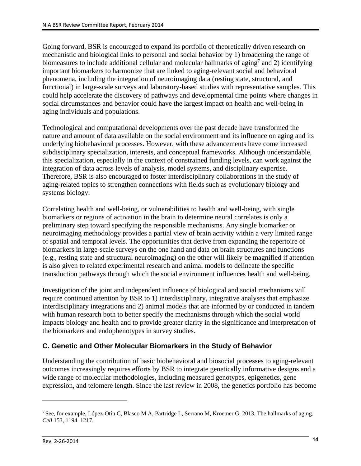Going forward, BSR is encouraged to expand its portfolio of theoretically driven research on mechanistic and biological links to personal and social behavior by 1) broadening the range of biomeasures to include additional cellular and molecular hallmarks of aging<sup>7</sup> and 2) identifying important biomarkers to harmonize that are linked to aging-relevant social and behavioral phenomena, including the integration of neuroimaging data (resting state, structural, and functional) in large-scale surveys and laboratory-based studies with representative samples. This could help accelerate the discovery of pathways and developmental time points where changes in social circumstances and behavior could have the largest impact on health and well-being in aging individuals and populations.

Technological and computational developments over the past decade have transformed the nature and amount of data available on the social environment and its influence on aging and its underlying biobehavioral processes. However, with these advancements have come increased subdisciplinary specialization, interests, and conceptual frameworks. Although understandable, this specialization, especially in the context of constrained funding levels, can work against the integration of data across levels of analysis, model systems, and disciplinary expertise. Therefore, BSR is also encouraged to foster interdisciplinary collaborations in the study of aging-related topics to strengthen connections with fields such as evolutionary biology and systems biology.

Correlating health and well-being, or vulnerabilities to health and well-being, with single biomarkers or regions of activation in the brain to determine neural correlates is only a preliminary step toward specifying the responsible mechanisms. Any single biomarker or neuroimaging methodology provides a partial view of brain activity within a very limited range of spatial and temporal levels. The opportunities that derive from expanding the repertoire of biomarkers in large-scale surveys on the one hand and data on brain structures and functions (e.g., resting state and structural neuroimaging) on the other will likely be magnified if attention is also given to related experimental research and animal models to delineate the specific transduction pathways through which the social environment influences health and well-being.

Investigation of the joint and independent influence of biological and social mechanisms will require continued attention by BSR to 1) interdisciplinary, integrative analyses that emphasize interdisciplinary integrations and 2) animal models that are informed by or conducted in tandem with human research both to better specify the mechanisms through which the social world impacts biology and health and to provide greater clarity in the significance and interpretation of the biomarkers and endophenotypes in survey studies.

#### **C. Genetic and Other Molecular Biomarkers in the Study of Behavior**

Understanding the contribution of basic biobehavioral and biosocial processes to aging-relevant outcomes increasingly requires efforts by BSR to integrate genetically informative designs and a wide range of molecular methodologies, including measured genotypes, epigenetics, gene expression, and telomere length. Since the last review in 2008, the genetics portfolio has become

<sup>7</sup> See, for example, López-Otín C, Blasco M A, Partridge L, Serrano M, Kroemer G. 2013. The hallmarks of aging. *Cell* 153, 1194–1217.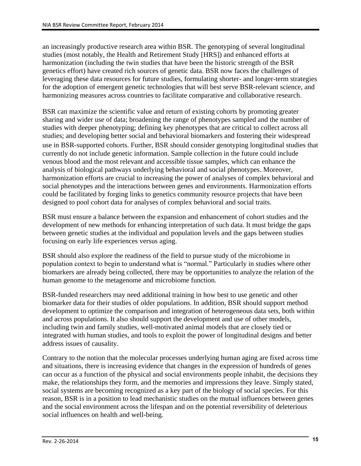an increasingly productive research area within BSR. The genotyping of several longitudinal studies (most notably, the Health and Retirement Study [HRS]) and enhanced efforts at harmonization (including the twin studies that have been the historic strength of the BSR genetics effort) have created rich sources of genetic data. BSR now faces the challenges of leveraging these data resources for future studies, formulating shorter- and longer-term strategies for the adoption of emergent genetic technologies that will best serve BSR-relevant science, and harmonizing measures across countries to facilitate comparative and collaborative research.

BSR can maximize the scientific value and return of existing cohorts by promoting greater sharing and wider use of data; broadening the range of phenotypes sampled and the number of studies with deeper phenotyping; defining key phenotypes that are critical to collect across all studies; and developing better social and behavioral biomarkers and fostering their widespread use in BSR‐supported cohorts. Further, BSR should consider genotyping longitudinal studies that currently do not include genetic information. Sample collection in the future could include venous blood and the most relevant and accessible tissue samples, which can enhance the analysis of biological pathways underlying behavioral and social phenotypes. Moreover, harmonization efforts are crucial to increasing the power of analyses of complex behavioral and social phenotypes and the interactions between genes and environments. Harmonization efforts could be facilitated by forging links to genetics community resource projects that have been designed to pool cohort data for analyses of complex behavioral and social traits.

BSR must ensure a balance between the expansion and enhancement of cohort studies and the development of new methods for enhancing interpretation of such data. It must bridge the gaps between genetic studies at the individual and population levels and the gaps between studies focusing on early life experiences versus aging.

BSR should also explore the readiness of the field to pursue study of the microbiome in population context to begin to understand what is "normal." Particularly in studies where other biomarkers are already being collected, there may be opportunities to analyze the relation of the human genome to the metagenome and microbiome function.

BSR-funded researchers may need additional training in how best to use genetic and other biomarker data for their studies of older populations. In addition, BSR should support method development to optimize the comparison and integration of heterogeneous data sets, both within and across populations. It also should support the development and use of other models, including twin and family studies, well-motivated animal models that are closely tied or integrated with human studies, and tools to exploit the power of longitudinal designs and better address issues of causality.

Contrary to the notion that the molecular processes underlying human aging are fixed across time and situations, there is increasing evidence that changes in the expression of hundreds of genes can occur as a function of the physical and social environments people inhabit, the decisions they make, the relationships they form, and the memories and impressions they leave. Simply stated, social systems are becoming recognized as a key part of the biology of social species. For this reason, BSR is in a position to lead mechanistic studies on the mutual influences between genes and the social environment across the lifespan and on the potential reversibility of deleterious social influences on health and well-being.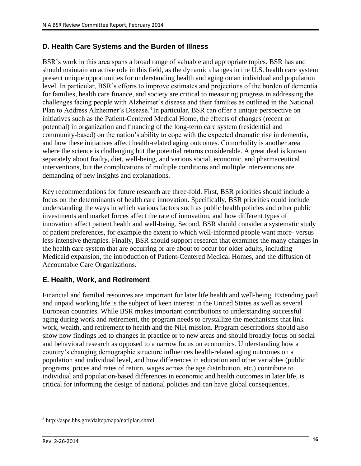#### **D. Health Care Systems and the Burden of Illness**

BSR's work in this area spans a broad range of valuable and appropriate topics. BSR has and should maintain an active role in this field, as the dynamic changes in the U.S. health care system present unique opportunities for understanding health and aging on an individual and population level. In particular, BSR's efforts to improve estimates and projections of the burden of dementia for families, health care finance, and society are critical to measuring progress in addressing the challenges facing people with Alzheimer's disease and their families as outlined in the National Plan to Address Alzheimer's Disease.<sup>8</sup> In particular, BSR can offer a unique perspective on initiatives such as the Patient-Centered Medical Home, the effects of changes (recent or potential) in organization and financing of the long-term care system (residential and community-based) on the nation's ability to cope with the expected dramatic rise in dementia, and how these initiatives affect health-related aging outcomes. Comorbidity is another area where the science is challenging but the potential returns considerable. A great deal is known separately about frailty, diet, well-being, and various social, economic, and pharmaceutical interventions, but the complications of multiple conditions and multiple interventions are demanding of new insights and explanations.

Key recommendations for future research are three-fold. First, BSR priorities should include a focus on the determinants of health care innovation. Specifically, BSR priorities could include understanding the ways in which various factors such as public health policies and other public investments and market forces affect the rate of innovation, and how different types of innovation affect patient health and well-being. Second, BSR should consider a systematic study of patient preferences, for example the extent to which well-informed people want more- versus less-intensive therapies. Finally, BSR should support research that examines the many changes in the health care system that are occurring or are about to occur for older adults, including Medicaid expansion, the introduction of Patient-Centered Medical Homes, and the diffusion of Accountable Care Organizations.

#### **E. Health, Work, and Retirement**

Financial and familial resources are important for later life health and well-being. Extending paid and unpaid working life is the subject of keen interest in the United States as well as several European countries. While BSR makes important contributions to understanding successful aging during work and retirement, the program needs to crystallize the mechanisms that link work, wealth, and retirement to health and the NIH mission. Program descriptions should also show how findings led to changes in practice or to new areas and should broadly focus on social and behavioral research as opposed to a narrow focus on economics. Understanding how a country's changing demographic structure influences health-related aging outcomes on a population and individual level, and how differences in education and other variables (public programs, prices and rates of return, wages across the age distribution, etc.) contribute to individual and population-based differences in economic and health outcomes in later life, is critical for informing the design of national policies and can have global consequences.

<sup>8</sup> http://aspe.hhs.gov/daltcp/napa/natlplan.shtml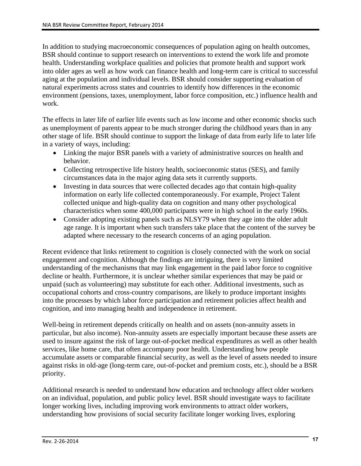In addition to studying macroeconomic consequences of population aging on health outcomes, BSR should continue to support research on interventions to extend the work life and promote health. Understanding workplace qualities and policies that promote health and support work into older ages as well as how work can finance health and long‐term care is critical to successful aging at the population and individual levels. BSR should consider supporting evaluation of natural experiments across states and countries to identify how differences in the economic environment (pensions, taxes, unemployment, labor force composition, etc.) influence health and work.

The effects in later life of earlier life events such as low income and other economic shocks such as unemployment of parents appear to be much stronger during the childhood years than in any other stage of life. BSR should continue to support the linkage of data from early life to later life in a variety of ways, including:

- Linking the major BSR panels with a variety of administrative sources on health and behavior.
- Collecting retrospective life history health, socioeconomic status (SES), and family circumstances data in the major aging data sets it currently supports.
- Investing in data sources that were collected decades ago that contain high-quality information on early life collected contemporaneously. For example, Project Talent collected unique and high-quality data on cognition and many other psychological characteristics when some 400,000 participants were in high school in the early 1960s.
- Consider adopting existing panels such as NLSY79 when they age into the older adult age range. It is important when such transfers take place that the content of the survey be adapted where necessary to the research concerns of an aging population.

Recent evidence that links retirement to cognition is closely connected with the work on social engagement and cognition. Although the findings are intriguing, there is very limited understanding of the mechanisms that may link engagement in the paid labor force to cognitive decline or health. Furthermore, it is unclear whether similar experiences that may be paid or unpaid (such as volunteering) may substitute for each other. Additional investments, such as occupational cohorts and cross-country comparisons, are likely to produce important insights into the processes by which labor force participation and retirement policies affect health and cognition, and into managing health and independence in retirement.

Well-being in retirement depends critically on health and on assets (non-annuity assets in particular, but also income). Non-annuity assets are especially important because these assets are used to insure against the risk of large out-of-pocket medical expenditures as well as other health services, like home care, that often accompany poor health. Understanding how people accumulate assets or comparable financial security, as well as the level of assets needed to insure against risks in old-age (long-term care, out-of-pocket and premium costs, etc.), should be a BSR priority.

Additional research is needed to understand how education and technology affect older workers on an individual, population, and public policy level. BSR should investigate ways to facilitate longer working lives, including improving work environments to attract older workers, understanding how provisions of social security facilitate longer working lives, exploring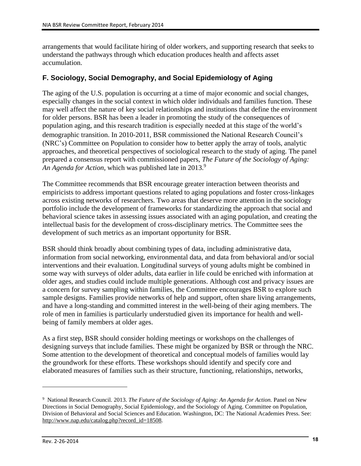arrangements that would facilitate hiring of older workers, and supporting research that seeks to understand the pathways through which education produces health and affects asset accumulation.

#### **F. Sociology, Social Demography, and Social Epidemiology of Aging**

The aging of the U.S. population is occurring at a time of major economic and social changes, especially changes in the social context in which older individuals and families function. These may well affect the nature of key social relationships and institutions that define the environment for older persons. BSR has been a leader in promoting the study of the consequences of population aging, and this research tradition is especially needed at this stage of the world's demographic transition. In 2010‐2011, BSR commissioned the National Research Council's (NRC's) Committee on Population to consider how to better apply the array of tools, analytic approaches, and theoretical perspectives of sociological research to the study of aging. The panel prepared a consensus report with commissioned papers, *The Future of the Sociology of Aging:*  An Agenda for Action, which was published late in 2013.<sup>9</sup>

The Committee recommends that BSR encourage greater interaction between theorists and empiricists to address important questions related to aging populations and foster cross‐linkages across existing networks of researchers. Two areas that deserve more attention in the sociology portfolio include the development of frameworks for standardizing the approach that social and behavioral science takes in assessing issues associated with an aging population, and creating the intellectual basis for the development of cross-disciplinary metrics. The Committee sees the development of such metrics as an important opportunity for BSR.

BSR should think broadly about combining types of data, including administrative data, information from social networking, environmental data, and data from behavioral and/or social interventions and their evaluation. Longitudinal surveys of young adults might be combined in some way with surveys of older adults, data earlier in life could be enriched with information at older ages, and studies could include multiple generations. Although cost and privacy issues are a concern for survey sampling within families, the Committee encourages BSR to explore such sample designs. Families provide networks of help and support, often share living arrangements, and have a long-standing and committed interest in the well-being of their aging members. The role of men in families is particularly understudied given its importance for health and wellbeing of family members at older ages.

As a first step, BSR should consider holding meetings or workshops on the challenges of designing surveys that include families. These might be organized by BSR or through the NRC. Some attention to the development of theoretical and conceptual models of families would lay the groundwork for these efforts. These workshops should identify and specify core and elaborated measures of families such as their structure, functioning, relationships, networks,

<sup>&</sup>lt;sup>9</sup> National Research Council. 2013. *The Future of the Sociology of Aging: An Agenda for Action*. Panel on New Directions in Social Demography, Social Epidemiology, and the Sociology of Aging. Committee on Population, Division of Behavioral and Social Sciences and Education. Washington, DC: The National Academies Press. See: [http://www.nap.edu/catalog.php?record\\_id=18508.](http://www.nap.edu/catalog.php?record_id=18508)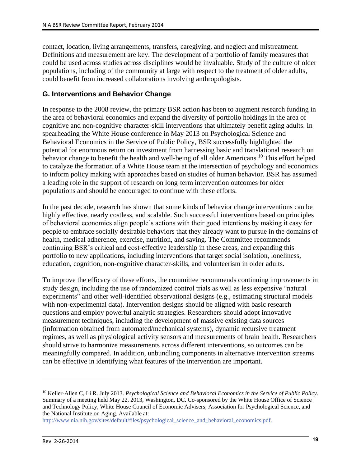contact, location, living arrangements, transfers, caregiving, and neglect and mistreatment. Definitions and measurement are key. The development of a portfolio of family measures that could be used across studies across disciplines would be invaluable. Study of the culture of older populations, including of the community at large with respect to the treatment of older adults, could benefit from increased collaborations involving anthropologists.

#### **G. Interventions and Behavior Change**

In response to the 2008 review, the primary BSR action has been to augment research funding in the area of behavioral economics and expand the diversity of portfolio holdings in the area of cognitive and non-cognitive character-skill interventions that ultimately benefit aging adults. In spearheading the White House conference in May 2013 on Psychological Science and Behavioral Economics in the Service of Public Policy, BSR successfully highlighted the potential for enormous return on investment from harnessing basic and translational research on behavior change to benefit the health and well-being of all older Americans.<sup>10</sup> This effort helped to catalyze the formation of a White House team at the intersection of psychology and economics to inform policy making with approaches based on studies of human behavior. BSR has assumed a leading role in the support of research on long‐term intervention outcomes for older populations and should be encouraged to continue with these efforts.

In the past decade, research has shown that some kinds of behavior change interventions can be highly effective, nearly costless, and scalable. Such successful interventions based on principles of behavioral economics align people's actions with their good intentions by making it easy for people to embrace socially desirable behaviors that they already want to pursue in the domains of health, medical adherence, exercise, nutrition, and saving. The Committee recommends continuing BSR's critical and cost-effective leadership in these areas, and expanding this portfolio to new applications, including interventions that target social isolation, loneliness, education, cognition, non-cognitive character-skills, and volunteerism in older adults.

To improve the efficacy of these efforts, the committee recommends continuing improvements in study design, including the use of randomized control trials as well as less expensive "natural experiments" and other well-identified observational designs (e.g., estimating structural models with non-experimental data). Intervention designs should be aligned with basic research questions and employ powerful analytic strategies. Researchers should adopt innovative measurement techniques, including the development of massive existing data sources (information obtained from automated/mechanical systems), dynamic recursive treatment regimes, as well as physiological activity sensors and measurements of brain health. Researchers should strive to harmonize measurements across different interventions, so outcomes can be meaningfully compared. In addition, unbundling components in alternative intervention streams can be effective in identifying what features of the intervention are important.

<sup>10</sup> Keller-Allen C, Li R. July 2013. *Psychological Science and Behavioral Economics in the Service of Public Policy*. Summary of a meeting held May 22, 2013, Washington, DC. Co-sponsored by the White House Office of Science and Technology Policy, White House Council of Economic Advisers, Association for Psychological Science, and the National Institute on Aging. Available at:

[http://www.nia.nih.gov/sites/default/files/psychological\\_science\\_and\\_behavioral\\_economics.pdf.](http://www.nia.nih.gov/sites/default/files/psychological_science_and_behavioral_economics.pdf)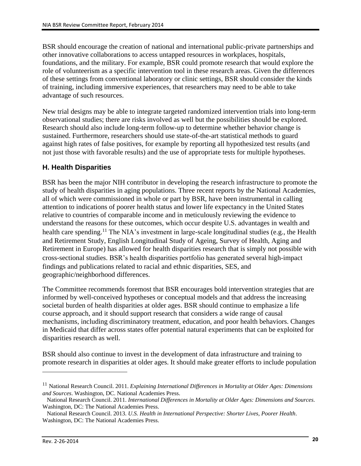BSR should encourage the creation of national and international public-private partnerships and other innovative collaborations to access untapped resources in workplaces, hospitals, foundations, and the military. For example, BSR could promote research that would explore the role of volunteerism as a specific intervention tool in these research areas. Given the differences of these settings from conventional laboratory or clinic settings, BSR should consider the kinds of training, including immersive experiences, that researchers may need to be able to take advantage of such resources.

New trial designs may be able to integrate targeted randomized intervention trials into long-term observational studies; there are risks involved as well but the possibilities should be explored. Research should also include long-term follow-up to determine whether behavior change is sustained. Furthermore, researchers should use state-of-the-art statistical methods to guard against high rates of false positives, for example by reporting all hypothesized test results (and not just those with favorable results) and the use of appropriate tests for multiple hypotheses.

#### **H. Health Disparities**

BSR has been the major NIH contributor in developing the research infrastructure to promote the study of health disparities in aging populations. Three recent reports by the National Academies, all of which were commissioned in whole or part by BSR, have been instrumental in calling attention to indications of poorer health status and lower life expectancy in the United States relative to countries of comparable income and in meticulously reviewing the evidence to understand the reasons for these outcomes, which occur despite U.S. advantages in wealth and health care spending.<sup>11</sup> The NIA's investment in large-scale longitudinal studies (e.g., the Health and Retirement Study, English Longitudinal Study of Ageing, Survey of Health, Aging and Retirement in Europe) has allowed for health disparities research that is simply not possible with cross‐sectional studies. BSR's health disparities portfolio has generated several high-impact findings and publications related to racial and ethnic disparities, SES, and geographic/neighborhood differences.

The Committee recommends foremost that BSR encourages bold intervention strategies that are informed by well-conceived hypotheses or conceptual models and that address the increasing societal burden of health disparities at older ages. BSR should continue to emphasize a life course approach, and it should support research that considers a wide range of causal mechanisms, including discriminatory treatment, education, and poor health behaviors. Changes in Medicaid that differ across states offer potential natural experiments that can be exploited for disparities research as well.

BSR should also continue to invest in the development of data infrastructure and training to promote research in disparities at older ages. It should make greater efforts to include population

<sup>11</sup> National Research Council. 2011. *Explaining International Differences in Mortality at Older Ages: Dimensions and Sources*. Washington, DC. National Academies Press.

National Research Council. 2011. *International Differences in Mortality at Older Ages: Dimensions and Sources*. Washington, DC: The National Academies Press.

National Research Council. 2013. *U.S. Health in International Perspective: Shorter Lives, Poorer Health*. Washington, DC: The National Academies Press.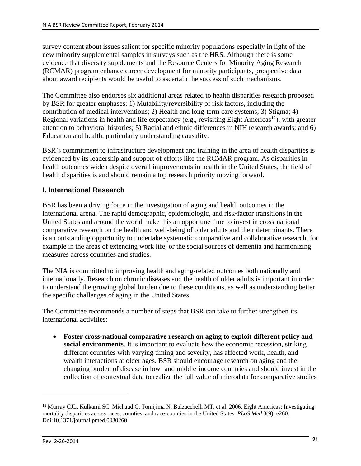survey content about issues salient for specific minority populations especially in light of the new minority supplemental samples in surveys such as the HRS. Although there is some evidence that diversity supplements and the Resource Centers for Minority Aging Research (RCMAR) program enhance career development for minority participants, prospective data about award recipients would be useful to ascertain the success of such mechanisms.

The Committee also endorses six additional areas related to health disparities research proposed by BSR for greater emphases: 1) Mutability/reversibility of risk factors, including the contribution of medical interventions; 2) Health and long-term care systems; 3) Stigma; 4) Regional variations in health and life expectancy (e.g., revisiting Eight Americas<sup>12</sup>), with greater attention to behavioral histories; 5) Racial and ethnic differences in NIH research awards; and 6) Education and health, particularly understanding causality.

BSR's commitment to infrastructure development and training in the area of health disparities is evidenced by its leadership and support of efforts like the RCMAR program. As disparities in health outcomes widen despite overall improvements in health in the United States, the field of health disparities is and should remain a top research priority moving forward.

#### **I. International Research**

BSR has been a driving force in the investigation of aging and health outcomes in the international arena. The rapid demographic, epidemiologic, and risk‐factor transitions in the United States and around the world make this an opportune time to invest in cross‐national comparative research on the health and well-being of older adults and their determinants. There is an outstanding opportunity to undertake systematic comparative and collaborative research, for example in the areas of extending work life, or the social sources of dementia and harmonizing measures across countries and studies.

The NIA is committed to improving health and aging-related outcomes both nationally and internationally. Research on chronic diseases and the health of older adults is important in order to understand the growing global burden due to these conditions, as well as understanding better the specific challenges of aging in the United States.

The Committee recommends a number of steps that BSR can take to further strengthen its international activities:

 **Foster cross-national comparative research on aging to exploit different policy and social environments**. It is important to evaluate how the economic recession, striking different countries with varying timing and severity, has affected work, health, and wealth interactions at older ages. BSR should encourage research on aging and the changing burden of disease in low‐ and middle‐income countries and should invest in the collection of contextual data to realize the full value of microdata for comparative studies

<sup>&</sup>lt;sup>12</sup> Murray CJL, Kulkarni SC, Michaud C, Tomijima N, Bulzacchelli MT, et al. 2006. Eight Americas: Investigating mortality disparities across races, counties, and race-counties in the United States. *PLoS Med* 3(9): e260. Doi:10.1371/journal.pmed.0030260.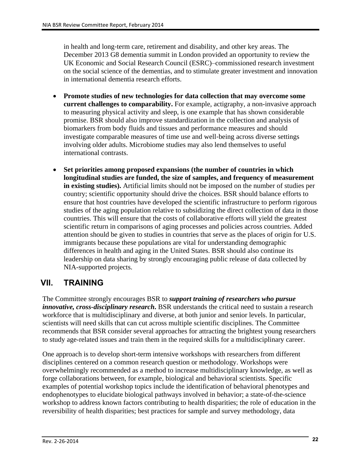in health and long‐term care, retirement and disability, and other key areas. The December 2013 G8 dementia summit in London provided an opportunity to review the UK Economic and Social Research Council (ESRC)–commissioned research investment on the social science of the dementias, and to stimulate greater investment and innovation in international dementia research efforts.

- **Promote studies of new technologies for data collection that may overcome some current challenges to comparability.** For example, actigraphy, a non-invasive approach to measuring physical activity and sleep, is one example that has shown considerable promise. BSR should also improve standardization in the collection and analysis of biomarkers from body fluids and tissues and performance measures and should investigate comparable measures of time use and well‐being across diverse settings involving older adults. Microbiome studies may also lend themselves to useful international contrasts.
- **Set priorities among proposed expansions (the number of countries in which longitudinal studies are funded, the size of samples, and frequency of measurement in existing studies).** Artificial limits should not be imposed on the number of studies per country; scientific opportunity should drive the choices. BSR should balance efforts to ensure that host countries have developed the scientific infrastructure to perform rigorous studies of the aging population relative to subsidizing the direct collection of data in those countries. This will ensure that the costs of collaborative efforts will yield the greatest scientific return in comparisons of aging processes and policies across countries. Added attention should be given to studies in countries that serve as the places of origin for U.S. immigrants because these populations are vital for understanding demographic differences in health and aging in the United States. BSR should also continue its leadership on data sharing by strongly encouraging public release of data collected by NIA-supported projects.

### **VII. TRAINING**

The Committee strongly encourages BSR to *support training of researchers who pursue innovative, cross-disciplinary research***.** BSR understands the critical need to sustain a research workforce that is multidisciplinary and diverse, at both junior and senior levels. In particular, scientists will need skills that can cut across multiple scientific disciplines. The Committee recommends that BSR consider several approaches for attracting the brightest young researchers to study age-related issues and train them in the required skills for a multidisciplinary career.

One approach is to develop short-term intensive workshops with researchers from different disciplines centered on a common research question or methodology. Workshops were overwhelmingly recommended as a method to increase multidisciplinary knowledge, as well as forge collaborations between, for example, biological and behavioral scientists. Specific examples of potential workshop topics include the identification of behavioral phenotypes and endophenotypes to elucidate biological pathways involved in behavior; a state-of-the-science workshop to address known factors contributing to health disparities; the role of education in the reversibility of health disparities; best practices for sample and survey methodology, data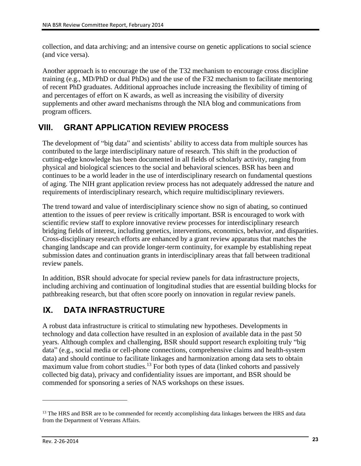collection, and data archiving; and an intensive course on genetic applications to social science (and vice versa).

Another approach is to encourage the use of the T32 mechanism to encourage cross discipline training (e.g., MD/PhD or dual PhDs) and the use of the F32 mechanism to facilitate mentoring of recent PhD graduates. Additional approaches include increasing the flexibility of timing of and percentages of effort on K awards, as well as increasing the visibility of diversity supplements and other award mechanisms through the NIA blog and communications from program officers.

### **VIII. GRANT APPLICATION REVIEW PROCESS**

The development of "big data" and scientists' ability to access data from multiple sources has contributed to the large interdisciplinary nature of research. This shift in the production of cutting-edge knowledge has been documented in all fields of scholarly activity, ranging from physical and biological sciences to the social and behavioral sciences. BSR has been and continues to be a world leader in the use of interdisciplinary research on fundamental questions of aging. The NIH grant application review process has not adequately addressed the nature and requirements of interdisciplinary research, which require multidisciplinary reviewers.

The trend toward and value of interdisciplinary science show no sign of abating, so continued attention to the issues of peer review is critically important. BSR is encouraged to work with scientific review staff to explore innovative review processes for interdisciplinary research bridging fields of interest, including genetics, interventions, economics, behavior, and disparities. Cross-disciplinary research efforts are enhanced by a grant review apparatus that matches the changing landscape and can provide longer-term continuity, for example by establishing repeat submission dates and continuation grants in interdisciplinary areas that fall between traditional review panels.

In addition, BSR should advocate for special review panels for data infrastructure projects, including archiving and continuation of longitudinal studies that are essential building blocks for pathbreaking research, but that often score poorly on innovation in regular review panels.

## **IX. DATA INFRASTRUCTURE**

A robust data infrastructure is critical to stimulating new hypotheses. Developments in technology and data collection have resulted in an explosion of available data in the past 50 years. Although complex and challenging, BSR should support research exploiting truly "big data" (e.g., social media or cell-phone connections, comprehensive claims and health-system data) and should continue to facilitate linkages and harmonization among data sets to obtain maximum value from cohort studies.<sup>13</sup> For both types of data (linked cohorts and passively collected big data), privacy and confidentiality issues are important, and BSR should be commended for sponsoring a series of NAS workshops on these issues.

<sup>&</sup>lt;sup>13</sup> The HRS and BSR are to be commended for recently accomplishing data linkages between the HRS and data from the Department of Veterans Affairs.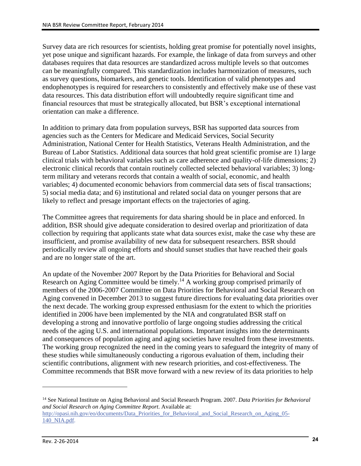Survey data are rich resources for scientists, holding great promise for potentially novel insights, yet pose unique and significant hazards. For example, the linkage of data from surveys and other databases requires that data resources are standardized across multiple levels so that outcomes can be meaningfully compared. This standardization includes harmonization of measures, such as survey questions, biomarkers, and genetic tools. Identification of valid phenotypes and endophenotypes is required for researchers to consistently and effectively make use of these vast data resources. This data distribution effort will undoubtedly require significant time and financial resources that must be strategically allocated, but BSR's exceptional international orientation can make a difference.

In addition to primary data from population surveys, BSR has supported data sources from agencies such as the Centers for Medicare and Medicaid Services, Social Security Administration, National Center for Health Statistics, Veterans Health Administration, and the Bureau of Labor Statistics. Additional data sources that hold great scientific promise are 1) large clinical trials with behavioral variables such as care adherence and quality-of-life dimensions; 2) electronic clinical records that contain routinely collected selected behavioral variables; 3) longterm military and veterans records that contain a wealth of social, economic, and health variables; 4) documented economic behaviors from commercial data sets of fiscal transactions; 5) social media data; and 6) institutional and related social data on younger persons that are likely to reflect and presage important effects on the trajectories of aging.

The Committee agrees that requirements for data sharing should be in place and enforced. In addition, BSR should give adequate consideration to desired overlap and prioritization of data collection by requiring that applicants state what data sources exist, make the case why these are insufficient, and promise availability of new data for subsequent researchers. BSR should periodically review all ongoing efforts and should sunset studies that have reached their goals and are no longer state of the art.

An update of the November 2007 Report by the Data Priorities for Behavioral and Social Research on Aging Committee would be timely.<sup>14</sup> A working group comprised primarily of members of the 2006-2007 Committee on Data Priorities for Behavioral and Social Research on Aging convened in December 2013 to suggest future directions for evaluating data priorities over the next decade. The working group expressed enthusiasm for the extent to which the priorities identified in 2006 have been implemented by the NIA and congratulated BSR staff on developing a strong and innovative portfolio of large ongoing studies addressing the critical needs of the aging U.S. and international populations. Important insights into the determinants and consequences of population aging and aging societies have resulted from these investments. The working group recognized the need in the coming years to safeguard the integrity of many of these studies while simultaneously conducting a rigorous evaluation of them, including their scientific contributions, alignment with new research priorities, and cost-effectiveness. The Committee recommends that BSR move forward with a new review of its data priorities to help

<sup>14</sup> See National Institute on Aging Behavioral and Social Research Program. 2007. *Data Priorities for Behavioral and Social Research on Aging Committee Report*. Available at: [http://opasi.nih.gov/eo/documents/Data\\_Priorities\\_for\\_Behavioral\\_and\\_Social\\_Research\\_on\\_Aging\\_05-](http://opasi.nih.gov/eo/documents/Data_Priorities_for_Behavioral_and_Social_Research_on_Aging_05-140_NIA.pdf) 140 NIA.pdf.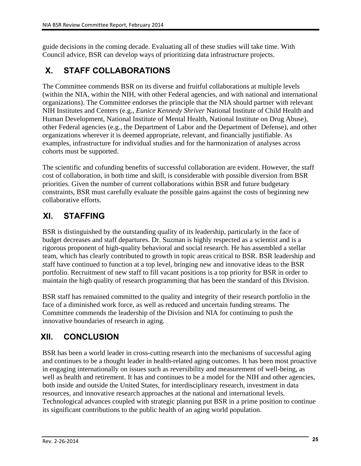guide decisions in the coming decade. Evaluating all of these studies will take time. With Council advice, BSR can develop ways of prioritizing data infrastructure projects.

## **X. STAFF COLLABORATIONS**

The Committee commends BSR on its diverse and fruitful collaborations at multiple levels (within the NIA, within the NIH, with other Federal agencies, and with national and international organizations). The Committee endorses the principle that the NIA should partner with relevant NIH Institutes and Centers (e.g., *Eunice Kennedy Shriver* National Institute of Child Health and Human Development, National Institute of Mental Health, National Institute on Drug Abuse), other Federal agencies (e.g., the Department of Labor and the Department of Defense), and other organizations wherever it is deemed appropriate, relevant, and financially justifiable. As examples, infrastructure for individual studies and for the harmonization of analyses across cohorts must be supported.

The scientific and cofunding benefits of successful collaboration are evident. However, the staff cost of collaboration, in both time and skill, is considerable with possible diversion from BSR priorities. Given the number of current collaborations within BSR and future budgetary constraints, BSR must carefully evaluate the possible gains against the costs of beginning new collaborative efforts.

## **XI. STAFFING**

BSR is distinguished by the outstanding quality of its leadership, particularly in the face of budget decreases and staff departures. Dr. Suzman is highly respected as a scientist and is a rigorous proponent of high-quality behavioral and social research. He has assembled a stellar team, which has clearly contributed to growth in topic areas critical to BSR. BSR leadership and staff have continued to function at a top level, bringing new and innovative ideas to the BSR portfolio. Recruitment of new staff to fill vacant positions is a top priority for BSR in order to maintain the high quality of research programming that has been the standard of this Division.

BSR staff has remained committed to the quality and integrity of their research portfolio in the face of a diminished work force, as well as reduced and uncertain funding streams. The Committee commends the leadership of the Division and NIA for continuing to push the innovative boundaries of research in aging.

## **XII. CONCLUSION**

BSR has been a world leader in cross-cutting research into the mechanisms of successful aging and continues to be a thought leader in health-related aging outcomes. It has been most proactive in engaging internationally on issues such as reversibility and measurement of well-being, as well as health and retirement. It has and continues to be a model for the NIH and other agencies, both inside and outside the United States, for interdisciplinary research, investment in data resources, and innovative research approaches at the national and international levels. Technological advances coupled with strategic planning put BSR in a prime position to continue its significant contributions to the public health of an aging world population.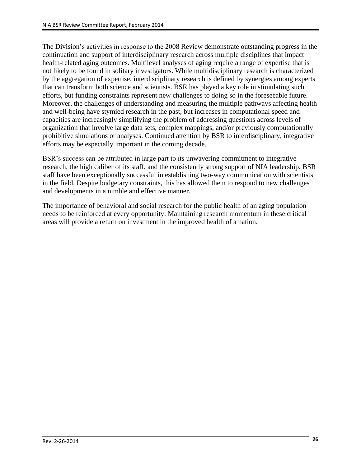The Division's activities in response to the 2008 Review demonstrate outstanding progress in the continuation and support of interdisciplinary research across multiple disciplines that impact health-related aging outcomes. Multilevel analyses of aging require a range of expertise that is not likely to be found in solitary investigators. While multidisciplinary research is characterized by the aggregation of expertise, interdisciplinary research is defined by synergies among experts that can transform both science and scientists. BSR has played a key role in stimulating such efforts, but funding constraints represent new challenges to doing so in the foreseeable future. Moreover, the challenges of understanding and measuring the multiple pathways affecting health and well-being have stymied research in the past, but increases in computational speed and capacities are increasingly simplifying the problem of addressing questions across levels of organization that involve large data sets, complex mappings, and/or previously computationally prohibitive simulations or analyses. Continued attention by BSR to interdisciplinary, integrative efforts may be especially important in the coming decade.

BSR's success can be attributed in large part to its unwavering commitment to integrative research, the high caliber of its staff, and the consistently strong support of NIA leadership. BSR staff have been exceptionally successful in establishing two-way communication with scientists in the field. Despite budgetary constraints, this has allowed them to respond to new challenges and developments in a nimble and effective manner.

The importance of behavioral and social research for the public health of an aging population needs to be reinforced at every opportunity. Maintaining research momentum in these critical areas will provide a return on investment in the improved health of a nation.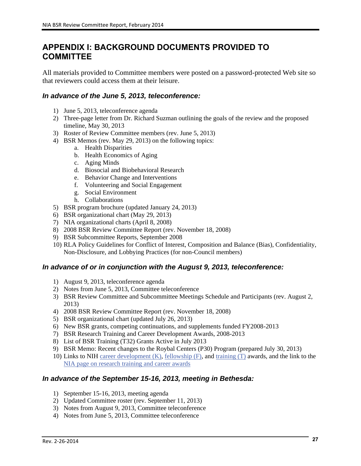### **APPENDIX I: BACKGROUND DOCUMENTS PROVIDED TO COMMITTEE**

All materials provided to Committee members were posted on a password-protected Web site so that reviewers could access them at their leisure.

#### *In advance of the June 5, 2013, teleconference:*

- 1) June 5, 2013, teleconference agenda
- 2) Three-page letter from Dr. Richard Suzman outlining the goals of the review and the proposed timeline, May 30, 2013
- 3) Roster of Review Committee members (rev. June 5, 2013)
- 4) BSR Memos (rev. May 29, 2013) on the following topics:
	- a. Health Disparities
	- b. Health Economics of Aging
	- c. Aging Minds
	- d. Biosocial and Biobehavioral Research
	- e. Behavior Change and Interventions
	- f. Volunteering and Social Engagement
	- g. Social Environment
	- h. Collaborations
- 5) BSR program brochure (updated January 24, 2013)
- 6) BSR organizational chart (May 29, 2013)
- 7) NIA organizational charts (April 8, 2008)
- 8) 2008 BSR Review Committee Report (rev. November 18, 2008)
- 9) BSR Subcommittee Reports, September 2008
- 10) RLA Policy Guidelines for Conflict of Interest, Composition and Balance (Bias), Confidentiality, Non-Disclosure, and Lobbying Practices (for non-Council members)

#### *In advance of or in conjunction with the August 9, 2013, teleconference:*

- 1) August 9, 2013, teleconference agenda
- 2) Notes from June 5, 2013, Committee teleconference
- 3) BSR Review Committee and Subcommittee Meetings Schedule and Participants (rev. August 2, 2013)
- 4) 2008 BSR Review Committee Report (rev. November 18, 2008)
- 5) BSR organizational chart (updated July 26, 2013)
- 6) New BSR grants, competing continuations, and supplements funded FY2008-2013
- 7) BSR Research Training and Career Development Awards, 2008-2013
- 8) List of BSR Training (T32) Grants Active in July 2013
- 9) BSR Memo: Recent changes to the Roybal Centers (P30) Program (prepared July 30, 2013)
- 10) Links to NIH [career development \(K\),](http://grants.nih.gov/training/careerdevelopmentawards.htm) [fellowship \(F\),](http://grants.nih.gov/training/F_files_nrsa.htm) and [training \(T\)](http://grants.nih.gov/training/T_Table.htm) awards, and the link to the [NIA page on research training and career awards](http://www.nia.nih.gov/research/dea/research-training-and-career-award-support)

#### *In advance of the September 15-16, 2013, meeting in Bethesda:*

- 1) September 15-16, 2013, meeting agenda
- 2) Updated Committee roster (rev. September 11, 2013)
- 3) Notes from August 9, 2013, Committee teleconference
- 4) Notes from June 5, 2013, Committee teleconference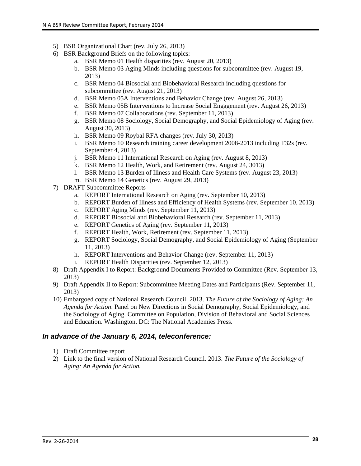- 5) BSR Organizational Chart (rev. July 26, 2013)
- 6) BSR Background Briefs on the following topics:
	- a. BSR Memo 01 Health disparities (rev. August 20, 2013)
	- b. BSR Memo 03 Aging Minds including questions for subcommittee (rev. August 19, 2013)
	- c. BSR Memo 04 Biosocial and Biobehavioral Research including questions for subcommittee (rev. August 21, 2013)
	- d. BSR Memo 05A Interventions and Behavior Change (rev. August 26, 2013)
	- e. BSR Memo 05B Interventions to Increase Social Engagement (rev. August 26, 2013)
	- f. BSR Memo 07 Collaborations (rev. September 11, 2013)
	- g. BSR Memo 08 Sociology, Social Demography, and Social Epidemiology of Aging (rev. August 30, 2013)
	- h. BSR Memo 09 Roybal RFA changes (rev. July 30, 2013)
	- i. BSR Memo 10 Research training career development 2008-2013 including T32s (rev. September 4, 2013)
	- j. BSR Memo 11 International Research on Aging (rev. August 8, 2013)
	- k. BSR Memo 12 Health, Work, and Retirement (rev. August 24, 3013)
	- l. BSR Memo 13 Burden of Illness and Health Care Systems (rev. August 23, 2013)
	- m. BSR Memo 14 Genetics (rev. August 29, 2013)
- 7) DRAFT Subcommittee Reports
	- a. REPORT International Research on Aging (rev. September 10, 2013)
	- b. REPORT Burden of Illness and Efficiency of Health Systems (rev. September 10, 2013)
	- c. REPORT Aging Minds (rev. September 11, 2013)
	- d. REPORT Biosocial and Biobehavioral Research (rev. September 11, 2013)
	- e. REPORT Genetics of Aging (rev. September 11, 2013)
	- f. REPORT Health, Work, Retirement (rev. September 11, 2013)
	- g. REPORT Sociology, Social Demography, and Social Epidemiology of Aging (September 11, 2013)
	- h. REPORT Interventions and Behavior Change (rev. September 11, 2013)
	- i. REPORT Health Disparities (rev. September 12, 2013)
- 8) Draft Appendix I to Report: Background Documents Provided to Committee (Rev. September 13, 2013)
- 9) Draft Appendix II to Report: Subcommittee Meeting Dates and Participants (Rev. September 11, 2013)
- 10) Embargoed copy of National Research Council. 2013. *The Future of the Sociology of Aging: An Agenda for Action*. Panel on New Directions in Social Demography, Social Epidemiology, and the Sociology of Aging. Committee on Population, Division of Behavioral and Social Sciences and Education. Washington, DC: The National Academies Press.

#### *In advance of the January 6, 2014, teleconference:*

- 1) Draft Committee report
- 2) Link to the final version of National Research Council. 2013. *The Future of the Sociology of Aging: An Agenda for Action.*